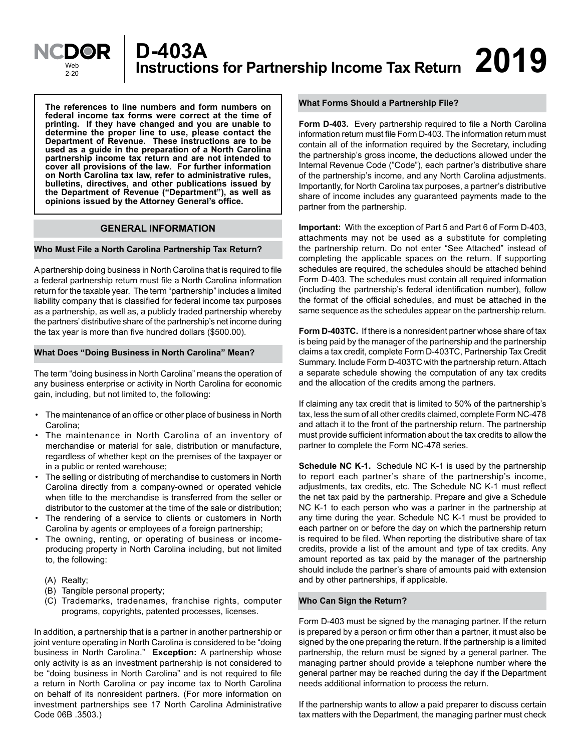

**The references to line numbers and form numbers on federal income tax forms were correct at the time of printing. If they have changed and you are unable to determine the proper line to use, please contact the Department of Revenue. These instructions are to be used as a guide in the preparation of a North Carolina partnership income tax return and are not intended to cover all provisions of the law. For further information on North Carolina tax law, refer to administrative rules, bulletins, directives, and other publications issued by the Department of Revenue ("Department"), as well as opinions issued by the Attorney General's office.**

# **GENERAL INFORMATION**

#### **Who Must File a North Carolina Partnership Tax Return?**

A partnership doing business in North Carolina that is required to file a federal partnership return must file a North Carolina information return for the taxable year. The term "partnership" includes a limited liability company that is classified for federal income tax purposes as a partnership, as well as, a publicly traded partnership whereby the partners' distributive share of the partnership's net income during the tax year is more than five hundred dollars (\$500.00).

#### **What Does "Doing Business in North Carolina" Mean?**

The term "doing business in North Carolina" means the operation of any business enterprise or activity in North Carolina for economic gain, including, but not limited to, the following:

- The maintenance of an office or other place of business in North Carolina;
- The maintenance in North Carolina of an inventory of merchandise or material for sale, distribution or manufacture, regardless of whether kept on the premises of the taxpayer or in a public or rented warehouse;
- The selling or distributing of merchandise to customers in North Carolina directly from a company-owned or operated vehicle when title to the merchandise is transferred from the seller or distributor to the customer at the time of the sale or distribution;
- The rendering of a service to clients or customers in North Carolina by agents or employees of a foreign partnership;
- The owning, renting, or operating of business or incomeproducing property in North Carolina including, but not limited to, the following:
	- (A) Realty;
	- (B) Tangible personal property;
	- (C) Trademarks, tradenames, franchise rights, computer programs, copyrights, patented processes, licenses.

In addition, a partnership that is a partner in another partnership or joint venture operating in North Carolina is considered to be "doing business in North Carolina." **Exception:** A partnership whose only activity is as an investment partnership is not considered to be "doing business in North Carolina" and is not required to file a return in North Carolina or pay income tax to North Carolina on behalf of its nonresident partners. (For more information on investment partnerships see 17 North Carolina Administrative Code 06B .3503.)

#### **What Forms Should a Partnership File?**

**Form D-403.** Every partnership required to file a North Carolina information return must file Form D-403. The information return must contain all of the information required by the Secretary, including the partnership's gross income, the deductions allowed under the Internal Revenue Code ("Code"), each partner's distributive share of the partnership's income, and any North Carolina adjustments. Importantly, for North Carolina tax purposes, a partner's distributive share of income includes any guaranteed payments made to the partner from the partnership.

**Important:** With the exception of Part 5 and Part 6 of Form D-403, attachments may not be used as a substitute for completing the partnership return. Do not enter "See Attached" instead of completing the applicable spaces on the return. If supporting schedules are required, the schedules should be attached behind Form D-403. The schedules must contain all required information (including the partnership's federal identification number), follow the format of the official schedules, and must be attached in the same sequence as the schedules appear on the partnership return.

**Form D-403TC.** If there is a nonresident partner whose share of tax is being paid by the manager of the partnership and the partnership claims a tax credit, complete Form D-403TC, Partnership Tax Credit Summary. Include Form D-403TC with the partnership return. Attach a separate schedule showing the computation of any tax credits and the allocation of the credits among the partners.

If claiming any tax credit that is limited to 50% of the partnership's tax, less the sum of all other credits claimed, complete Form NC-478 and attach it to the front of the partnership return. The partnership must provide sufficient information about the tax credits to allow the partner to complete the Form NC-478 series.

**Schedule NC K-1.** Schedule NC K-1 is used by the partnership to report each partner's share of the partnership's income, adjustments, tax credits, etc. The Schedule NC K-1 must reflect the net tax paid by the partnership. Prepare and give a Schedule NC K-1 to each person who was a partner in the partnership at any time during the year. Schedule NC K-1 must be provided to each partner on or before the day on which the partnership return is required to be filed. When reporting the distributive share of tax credits, provide a list of the amount and type of tax credits. Any amount reported as tax paid by the manager of the partnership should include the partner's share of amounts paid with extension and by other partnerships, if applicable.

#### **Who Can Sign the Return?**

Form D-403 must be signed by the managing partner. If the return is prepared by a person or firm other than a partner, it must also be signed by the one preparing the return. If the partnership is a limited partnership, the return must be signed by a general partner. The managing partner should provide a telephone number where the general partner may be reached during the day if the Department needs additional information to process the return.

If the partnership wants to allow a paid preparer to discuss certain tax matters with the Department, the managing partner must check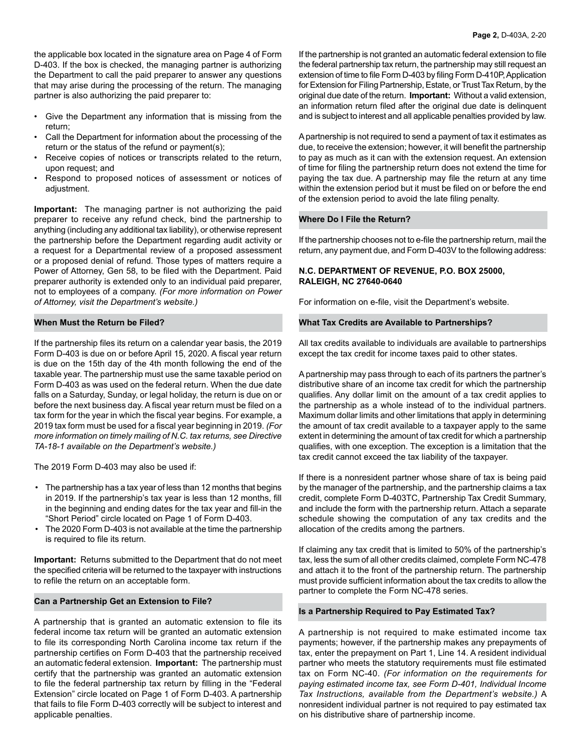the applicable box located in the signature area on Page 4 of Form D-403. If the box is checked, the managing partner is authorizing the Department to call the paid preparer to answer any questions that may arise during the processing of the return. The managing partner is also authorizing the paid preparer to:

- Give the Department any information that is missing from the return;
- Call the Department for information about the processing of the return or the status of the refund or payment(s);
- Receive copies of notices or transcripts related to the return, upon request; and
- Respond to proposed notices of assessment or notices of adjustment.

**Important:** The managing partner is not authorizing the paid preparer to receive any refund check, bind the partnership to anything (including any additional tax liability), or otherwise represent the partnership before the Department regarding audit activity or a request for a Departmental review of a proposed assessment or a proposed denial of refund. Those types of matters require a Power of Attorney, Gen 58, to be filed with the Department. Paid preparer authority is extended only to an individual paid preparer, not to employees of a company. *(For more information on Power of Attorney, visit the Department's website.)*

#### **When Must the Return be Filed?**

If the partnership files its return on a calendar year basis, the 2019 Form D-403 is due on or before April 15, 2020. A fiscal year return is due on the 15th day of the 4th month following the end of the taxable year. The partnership must use the same taxable period on Form D-403 as was used on the federal return. When the due date falls on a Saturday, Sunday, or legal holiday, the return is due on or before the next business day. A fiscal year return must be filed on a tax form for the year in which the fiscal year begins. For example, a 2019 tax form must be used for a fiscal year beginning in 2019. *(For more information on timely mailing of N.C. tax returns, see Directive TA-18-1 available on the Department's website.)*

The 2019 Form D-403 may also be used if:

- The partnership has a tax year of less than 12 months that begins in 2019. If the partnership's tax year is less than 12 months, fill in the beginning and ending dates for the tax year and fill-in the "Short Period" circle located on Page 1 of Form D-403.
- The 2020 Form D-403 is not available at the time the partnership is required to file its return.

**Important:** Returns submitted to the Department that do not meet the specified criteria will be returned to the taxpayer with instructions to refile the return on an acceptable form.

#### **Can a Partnership Get an Extension to File?**

A partnership that is granted an automatic extension to file its federal income tax return will be granted an automatic extension to file its corresponding North Carolina income tax return if the partnership certifies on Form D-403 that the partnership received an automatic federal extension. **Important:** The partnership must certify that the partnership was granted an automatic extension to file the federal partnership tax return by filling in the "Federal Extension" circle located on Page 1 of Form D-403. A partnership that fails to file Form D-403 correctly will be subject to interest and applicable penalties.

If the partnership is not granted an automatic federal extension to file the federal partnership tax return, the partnership may still request an extension of time to file Form D-403 by filing Form D-410P, Application for Extension for Filing Partnership, Estate, or Trust Tax Return, by the original due date of the return. **Important:** Without a valid extension, an information return filed after the original due date is delinquent and is subject to interest and all applicable penalties provided by law.

A partnership is not required to send a payment of tax it estimates as due, to receive the extension; however, it will benefit the partnership to pay as much as it can with the extension request. An extension of time for filing the partnership return does not extend the time for paying the tax due. A partnership may file the return at any time within the extension period but it must be filed on or before the end of the extension period to avoid the late filing penalty.

#### **Where Do I File the Return?**

If the partnership chooses not to e-file the partnership return, mail the return, any payment due, and Form D-403V to the following address:

# **N.C. DEPARTMENT OF REVENUE, P.O. BOX 25000, RALEIGH, NC 27640-0640**

For information on e-file, visit the Department's website.

#### **What Tax Credits are Available to Partnerships?**

All tax credits available to individuals are available to partnerships except the tax credit for income taxes paid to other states.

A partnership may pass through to each of its partners the partner's distributive share of an income tax credit for which the partnership qualifies. Any dollar limit on the amount of a tax credit applies to the partnership as a whole instead of to the individual partners. Maximum dollar limits and other limitations that apply in determining the amount of tax credit available to a taxpayer apply to the same extent in determining the amount of tax credit for which a partnership qualifies, with one exception. The exception is a limitation that the tax credit cannot exceed the tax liability of the taxpayer.

If there is a nonresident partner whose share of tax is being paid by the manager of the partnership, and the partnership claims a tax credit, complete Form D-403TC, Partnership Tax Credit Summary, and include the form with the partnership return. Attach a separate schedule showing the computation of any tax credits and the allocation of the credits among the partners.

If claiming any tax credit that is limited to 50% of the partnership's tax, less the sum of all other credits claimed, complete Form NC-478 and attach it to the front of the partnership return. The partnership must provide sufficient information about the tax credits to allow the partner to complete the Form NC-478 series.

#### **Is a Partnership Required to Pay Estimated Tax?**

A partnership is not required to make estimated income tax payments; however, if the partnership makes any prepayments of tax, enter the prepayment on Part 1, Line 14. A resident individual partner who meets the statutory requirements must file estimated tax on Form NC-40. *(For information on the requirements for paying estimated income tax, see Form D-401, Individual Income Tax Instructions, available from the Department's website.)* A nonresident individual partner is not required to pay estimated tax on his distributive share of partnership income.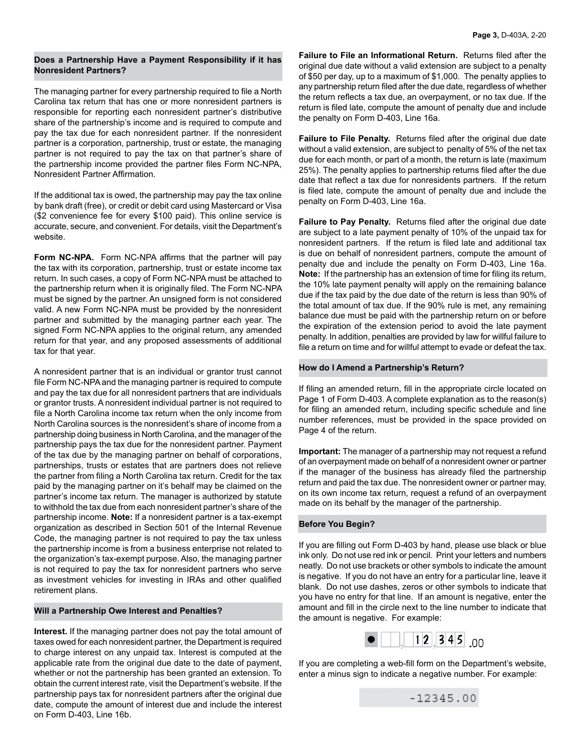### **Does a Partnership Have a Payment Responsibility if it has Nonresident Partners?**

The managing partner for every partnership required to file a North Carolina tax return that has one or more nonresident partners is responsible for reporting each nonresident partner's distributive share of the partnership's income and is required to compute and pay the tax due for each nonresident partner. If the nonresident partner is a corporation, partnership, trust or estate, the managing partner is not required to pay the tax on that partner's share of the partnership income provided the partner files Form NC-NPA, Nonresident Partner Affirmation.

If the additional tax is owed, the partnership may pay the tax online by bank draft (free), or credit or debit card using Mastercard or Visa (\$2 convenience fee for every \$100 paid). This online service is accurate, secure, and convenient. For details, visit the Department's website.

**Form NC-NPA.** Form NC-NPA affirms that the partner will pay the tax with its corporation, partnership, trust or estate income tax return. In such cases, a copy of Form NC-NPA must be attached to the partnership return when it is originally filed. The Form NC-NPA must be signed by the partner. An unsigned form is not considered valid. A new Form NC-NPA must be provided by the nonresident partner and submitted by the managing partner each year. The signed Form NC-NPA applies to the original return, any amended return for that year, and any proposed assessments of additional tax for that year.

A nonresident partner that is an individual or grantor trust cannot file Form NC-NPA and the managing partner is required to compute and pay the tax due for all nonresident partners that are individuals or grantor trusts. A nonresident individual partner is not required to file a North Carolina income tax return when the only income from North Carolina sources is the nonresident's share of income from a partnership doing business in North Carolina, and the manager of the partnership pays the tax due for the nonresident partner. Payment of the tax due by the managing partner on behalf of corporations, partnerships, trusts or estates that are partners does not relieve the partner from filing a North Carolina tax return. Credit for the tax paid by the managing partner on it's behalf may be claimed on the partner's income tax return. The manager is authorized by statute to withhold the tax due from each nonresident partner's share of the partnership income. **Note:** If a nonresident partner is a tax-exempt organization as described in Section 501 of the Internal Revenue Code, the managing partner is not required to pay the tax unless the partnership income is from a business enterprise not related to the organization's tax-exempt purpose. Also, the managing partner is not required to pay the tax for nonresident partners who serve as investment vehicles for investing in IRAs and other qualified retirement plans.

# **Will a Partnership Owe Interest and Penalties?**

**Interest.** If the managing partner does not pay the total amount of taxes owed for each nonresident partner, the Department is required to charge interest on any unpaid tax. Interest is computed at the applicable rate from the original due date to the date of payment, whether or not the partnership has been granted an extension. To obtain the current interest rate, visit the Department's website. If the partnership pays tax for nonresident partners after the original due date, compute the amount of interest due and include the interest on Form D-403, Line 16b.

**Failure to File an Informational Return.** Returns filed after the original due date without a valid extension are subject to a penalty of \$50 per day, up to a maximum of \$1,000. The penalty applies to any partnership return filed after the due date, regardless of whether the return reflects a tax due, an overpayment, or no tax due. If the return is filed late, compute the amount of penalty due and include the penalty on Form D-403, Line 16a.

**Failure to File Penalty.** Returns filed after the original due date without a valid extension, are subject to penalty of 5% of the net tax due for each month, or part of a month, the return is late (maximum 25%). The penalty applies to partnership returns filed after the due date that reflect a tax due for nonresidents partners. If the return is filed late, compute the amount of penalty due and include the penalty on Form D-403, Line 16a.

**Failure to Pay Penalty.** Returns filed after the original due date are subject to a late payment penalty of 10% of the unpaid tax for nonresident partners. If the return is filed late and additional tax is due on behalf of nonresident partners, compute the amount of penalty due and include the penalty on Form D-403, Line 16a. **Note:** If the partnership has an extension of time for filing its return, the 10% late payment penalty will apply on the remaining balance due if the tax paid by the due date of the return is less than 90% of the total amount of tax due. If the 90% rule is met, any remaining balance due must be paid with the partnership return on or before the expiration of the extension period to avoid the late payment penalty. In addition, penalties are provided by law for willful failure to file a return on time and for willful attempt to evade or defeat the tax.

### **How do I Amend a Partnership's Return?**

If filing an amended return, fill in the appropriate circle located on Page 1 of Form D-403. A complete explanation as to the reason(s) for filing an amended return, including specific schedule and line number references, must be provided in the space provided on Page 4 of the return.

**Important:** The manager of a partnership may not request a refund of an overpayment made on behalf of a nonresident owner or partner if the manager of the business has already filed the partnership return and paid the tax due. The nonresident owner or partner may, on its own income tax return, request a refund of an overpayment made on its behalf by the manager of the partnership.

# **Before You Begin?**

l

If you are filling out Form D-403 by hand, please use black or blue ink only. Do not use red ink or pencil. Print your letters and numbers neatly. Do not use brackets or other symbols to indicate the amount is negative. If you do not have an entry for a particular line, leave it blank. Do not use dashes, zeros or other symbols to indicate that you have no entry for that line. If an amount is negative, enter the amount and fill in the circle next to the line number to indicate that the amount is negative. For example:



If you are completing a web-fill form on the Department's website, enter a minus sign to indicate a negative number. For example:

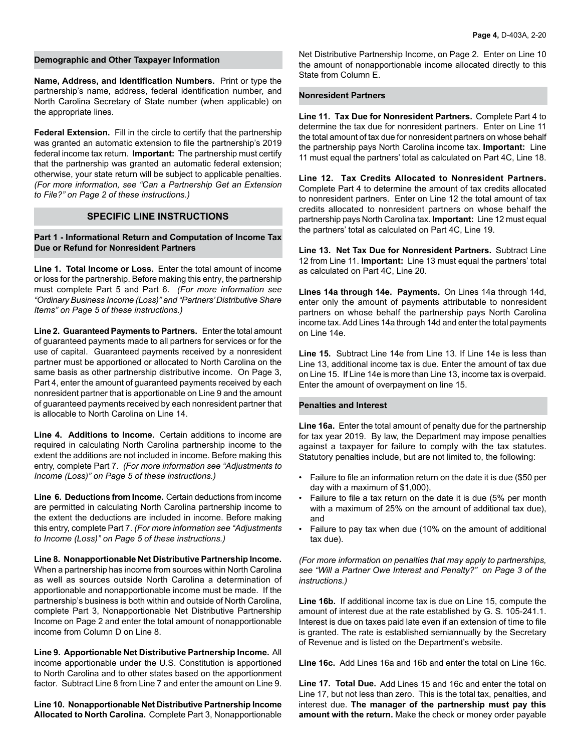#### **Demographic and Other Taxpayer Information**

**Name, Address, and Identification Numbers.** Print or type the partnership's name, address, federal identification number, and North Carolina Secretary of State number (when applicable) on the appropriate lines.

**Federal Extension.** Fill in the circle to certify that the partnership was granted an automatic extension to file the partnership's 2019 federal income tax return. **Important:** The partnership must certify that the partnership was granted an automatic federal extension; otherwise, your state return will be subject to applicable penalties. *(For more information, see "Can a Partnership Get an Extension to File?" on Page 2 of these instructions.)*

# **SPECIFIC LINE INSTRUCTIONS**

**Part 1 - Informational Return and Computation of Income Tax Due or Refund for Nonresident Partners**

**Line 1. Total Income or Loss.** Enter the total amount of income or loss for the partnership. Before making this entry, the partnership must complete Part 5 and Part 6. *(For more information see "Ordinary Business Income (Loss)" and "Partners' Distributive Share Items" on Page 5 of these instructions.)*

**Line 2. Guaranteed Payments to Partners.** Enter the total amount of guaranteed payments made to all partners for services or for the use of capital. Guaranteed payments received by a nonresident partner must be apportioned or allocated to North Carolina on the same basis as other partnership distributive income. On Page 3, Part 4, enter the amount of guaranteed payments received by each nonresident partner that is apportionable on Line 9 and the amount of guaranteed payments received by each nonresident partner that is allocable to North Carolina on Line 14.

**Line 4. Additions to Income.** Certain additions to income are required in calculating North Carolina partnership income to the extent the additions are not included in income. Before making this entry, complete Part 7. *(For more information see "Adjustments to Income (Loss)" on Page 5 of these instructions.)*

**Line 6. Deductions from Income.** Certain deductions from income are permitted in calculating North Carolina partnership income to the extent the deductions are included in income. Before making this entry, complete Part 7. *(For more information see "Adjustments to Income (Loss)" on Page 5 of these instructions.)* 

**Line 8. Nonapportionable Net Distributive Partnership Income.** When a partnership has income from sources within North Carolina as well as sources outside North Carolina a determination of apportionable and nonapportionable income must be made. If the partnership's business is both within and outside of North Carolina, complete Part 3, Nonapportionable Net Distributive Partnership Income on Page 2 and enter the total amount of nonapportionable income from Column D on Line 8.

**Line 9. Apportionable Net Distributive Partnership Income.** All income apportionable under the U.S. Constitution is apportioned to North Carolina and to other states based on the apportionment factor. Subtract Line 8 from Line 7 and enter the amount on Line 9.

**Line 10. Nonapportionable Net Distributive Partnership Income Allocated to North Carolina.** Complete Part 3, Nonapportionable

Net Distributive Partnership Income, on Page 2. Enter on Line 10 the amount of nonapportionable income allocated directly to this State from Column E.

### **Nonresident Partners**

**Line 11. Tax Due for Nonresident Partners.** Complete Part 4 to determine the tax due for nonresident partners. Enter on Line 11 the total amount of tax due for nonresident partners on whose behalf the partnership pays North Carolina income tax. **Important:** Line 11 must equal the partners' total as calculated on Part 4C, Line 18.

**Line 12. Tax Credits Allocated to Nonresident Partners.** Complete Part 4 to determine the amount of tax credits allocated to nonresident partners. Enter on Line 12 the total amount of tax credits allocated to nonresident partners on whose behalf the partnership pays North Carolina tax. **Important:** Line 12 must equal the partners' total as calculated on Part 4C, Line 19.

**Line 13. Net Tax Due for Nonresident Partners.** Subtract Line 12 from Line 11. **Important:** Line 13 must equal the partners' total as calculated on Part 4C, Line 20.

**Lines 14a through 14e. Payments.** On Lines 14a through 14d, enter only the amount of payments attributable to nonresident partners on whose behalf the partnership pays North Carolina income tax. Add Lines 14a through 14d and enter the total payments on Line 14e.

**Line 15.** Subtract Line 14e from Line 13. If Line 14e is less than Line 13, additional income tax is due. Enter the amount of tax due on Line 15. If Line 14e is more than Line 13, income tax is overpaid. Enter the amount of overpayment on line 15.

# **Penalties and Interest**

**Line 16a.** Enter the total amount of penalty due for the partnership for tax year 2019. By law, the Department may impose penalties against a taxpayer for failure to comply with the tax statutes. Statutory penalties include, but are not limited to, the following:

- Failure to file an information return on the date it is due (\$50 per day with a maximum of \$1,000),
- Failure to file a tax return on the date it is due (5% per month with a maximum of 25% on the amount of additional tax due), and
- Failure to pay tax when due (10% on the amount of additional tax due).

*(For more information on penalties that may apply to partnerships, see "Will a Partner Owe Interest and Penalty?" on Page 3 of the instructions.)*

**Line 16b.** If additional income tax is due on Line 15, compute the amount of interest due at the rate established by G. S. 105-241.1. Interest is due on taxes paid late even if an extension of time to file is granted. The rate is established semiannually by the Secretary of Revenue and is listed on the Department's website.

**Line 16c.** Add Lines 16a and 16b and enter the total on Line 16c.

**Line 17. Total Due.** Add Lines 15 and 16c and enter the total on Line 17, but not less than zero. This is the total tax, penalties, and interest due. **The manager of the partnership must pay this amount with the return.** Make the check or money order payable